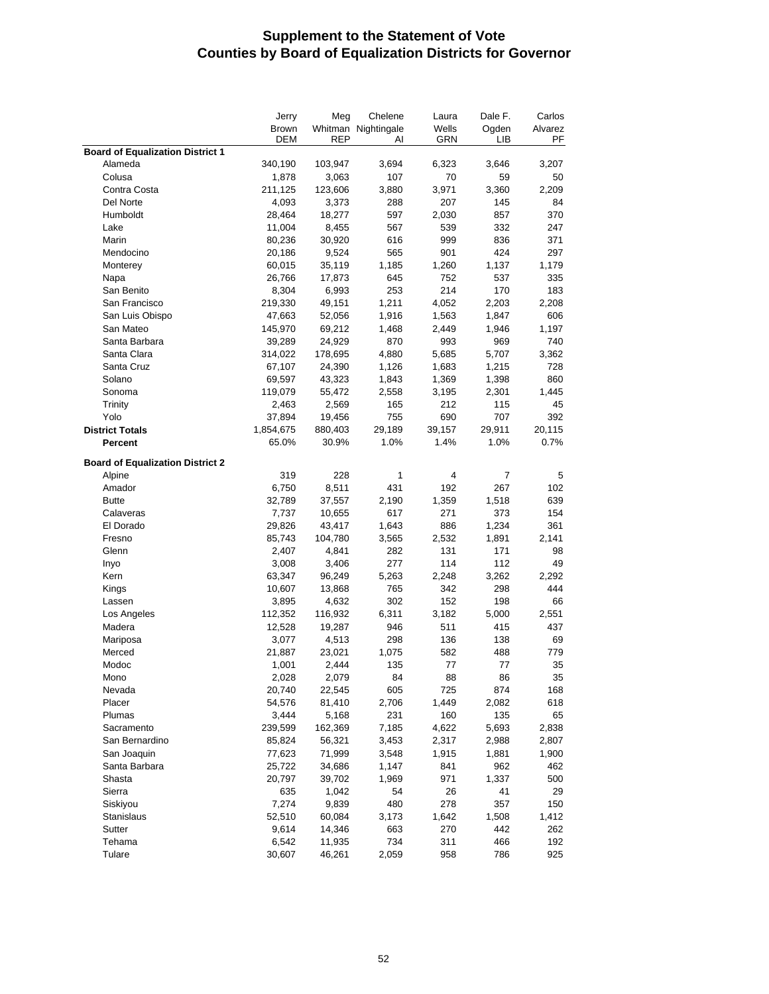## **Supplement to the Statement of Vote Counties by Board of Equalization Districts for Governor**

|                                         | Jerry<br><b>Brown</b><br>DEM | Meg<br><b>REP</b> | Chelene<br>Whitman Nightingale<br>Al | Laura<br>Wells<br>GRN | Dale F.<br>Ogden<br>LІВ | Carlos<br>Alvarez<br>PF |
|-----------------------------------------|------------------------------|-------------------|--------------------------------------|-----------------------|-------------------------|-------------------------|
| <b>Board of Equalization District 1</b> |                              |                   |                                      |                       |                         |                         |
| Alameda                                 | 340,190                      | 103,947           | 3,694                                | 6,323                 | 3,646                   | 3,207                   |
| Colusa                                  | 1,878                        | 3,063             | 107                                  | 70                    | 59                      | 50                      |
| Contra Costa                            | 211,125                      | 123,606           | 3,880                                | 3,971                 | 3,360                   | 2,209                   |
| Del Norte                               | 4,093                        | 3,373             | 288                                  | 207                   | 145                     | 84                      |
| Humboldt                                | 28,464                       | 18,277            | 597                                  | 2,030                 | 857                     | 370                     |
| Lake                                    | 11,004                       | 8,455             | 567                                  | 539                   | 332                     | 247                     |
| Marin                                   | 80,236                       | 30,920            | 616                                  | 999                   | 836                     | 371                     |
| Mendocino                               | 20,186                       | 9,524             | 565                                  | 901                   | 424                     | 297                     |
| Monterey                                | 60,015                       | 35,119            | 1,185                                | 1,260                 | 1,137                   | 1,179                   |
| Napa                                    | 26,766                       | 17,873            | 645                                  | 752                   | 537                     | 335                     |
| San Benito                              | 8,304                        | 6,993             | 253                                  | 214                   | 170                     | 183                     |
| San Francisco                           | 219,330                      | 49,151            | 1,211                                | 4,052                 | 2,203                   | 2,208                   |
| San Luis Obispo                         | 47,663                       | 52,056            | 1,916                                | 1,563                 | 1,847                   | 606                     |
| San Mateo                               | 145,970                      | 69,212            | 1,468                                | 2,449                 | 1,946                   | 1,197                   |
| Santa Barbara                           | 39,289                       | 24,929            | 870                                  | 993                   | 969                     | 740                     |
| Santa Clara                             | 314,022                      | 178,695           | 4,880                                | 5,685                 | 5,707                   | 3,362                   |
| Santa Cruz                              | 67,107                       | 24,390            | 1,126                                | 1,683                 | 1,215                   | 728                     |
| Solano                                  | 69,597                       | 43,323            | 1,843                                | 1,369                 | 1,398                   | 860                     |
| Sonoma                                  | 119,079                      | 55,472            | 2,558                                | 3,195                 | 2,301                   | 1,445                   |
| Trinity                                 | 2,463                        | 2,569             | 165                                  | 212                   | 115                     | 45                      |
| Yolo                                    | 37,894                       | 19,456            | 755                                  | 690                   | 707                     | 392                     |
| <b>District Totals</b>                  | 1,854,675                    | 880,403           | 29,189                               | 39,157                | 29,911                  | 20,115                  |
| Percent                                 | 65.0%                        | 30.9%             | 1.0%                                 | 1.4%                  | 1.0%                    | 0.7%                    |
| <b>Board of Equalization District 2</b> |                              |                   |                                      |                       |                         |                         |
| Alpine                                  | 319                          | 228               | 1                                    | 4                     | 7                       | 5                       |
| Amador                                  | 6,750                        | 8,511             | 431                                  | 192                   | 267                     | 102                     |
| <b>Butte</b>                            | 32,789                       | 37,557            | 2,190                                | 1,359                 | 1,518                   | 639                     |
| Calaveras                               | 7,737                        | 10,655            | 617                                  | 271                   | 373                     | 154                     |
| El Dorado                               | 29,826                       | 43,417            | 1,643                                | 886                   | 1,234                   | 361                     |
| Fresno                                  | 85,743                       | 104,780           | 3,565                                | 2,532                 | 1,891                   | 2,141                   |
| Glenn                                   | 2,407                        | 4,841             | 282                                  | 131                   | 171                     | 98                      |
| Inyo                                    | 3,008                        | 3,406             | 277                                  | 114                   | 112                     | 49                      |
| Kern                                    | 63,347                       | 96,249            | 5,263                                | 2,248                 | 3,262                   | 2,292                   |
| Kings                                   | 10,607                       | 13,868            | 765                                  | 342                   | 298                     | 444                     |
| Lassen                                  | 3,895                        | 4,632             | 302                                  | 152                   | 198                     | 66                      |
| Los Angeles                             | 112,352                      | 116,932           | 6,311                                | 3,182                 | 5,000                   | 2,551                   |
| Madera                                  | 12,528                       | 19,287            | 946                                  | 511                   | 415                     | 437                     |
| Mariposa                                | 3,077                        | 4,513             | 298                                  | 136                   | 138                     | 69                      |
| Merced                                  | 21,887                       | 23,021            | 1,075                                | 582                   | 488                     | 779                     |
| Modoc                                   | 1,001                        | 2.444             | 135                                  | 77                    | 77                      | 35                      |
| Mono                                    | 2,028                        | 2,079             | 84                                   | 88                    | 86                      | 35                      |
| Nevada                                  | 20,740                       | 22,545            | 605                                  | 725                   | 874                     | 168                     |
| Placer                                  | 54,576                       | 81,410            | 2,706                                | 1,449                 | 2,082                   | 618                     |
| Plumas                                  | 3,444                        | 5,168             | 231                                  | 160                   | 135                     | 65                      |
| Sacramento                              | 239,599                      | 162,369           | 7,185                                | 4,622                 | 5,693                   | 2,838                   |
| San Bernardino                          | 85,824                       | 56,321            | 3,453                                | 2,317                 | 2,988                   | 2,807                   |
| San Joaquin                             | 77,623                       | 71,999            | 3,548                                | 1,915                 | 1,881                   | 1,900                   |
| Santa Barbara                           | 25,722                       | 34,686            | 1,147                                | 841                   | 962                     | 462                     |
| Shasta                                  | 20,797                       | 39,702            | 1,969                                | 971                   | 1,337                   | 500                     |
| Sierra                                  | 635                          | 1,042             | 54                                   | 26                    | 41                      | 29                      |
| Siskiyou                                | 7,274                        | 9,839             | 480                                  | 278                   | 357                     | 150                     |
| Stanislaus                              | 52,510                       | 60,084            | 3,173                                | 1,642                 | 1,508                   | 1,412                   |
| Sutter                                  | 9,614                        | 14,346            | 663                                  | 270                   | 442                     | 262                     |
| Tehama<br>Tulare                        | 6,542                        | 11,935            | 734                                  | 311                   | 466                     | 192                     |
|                                         | 30,607                       | 46,261            | 2,059                                | 958                   | 786                     | 925                     |